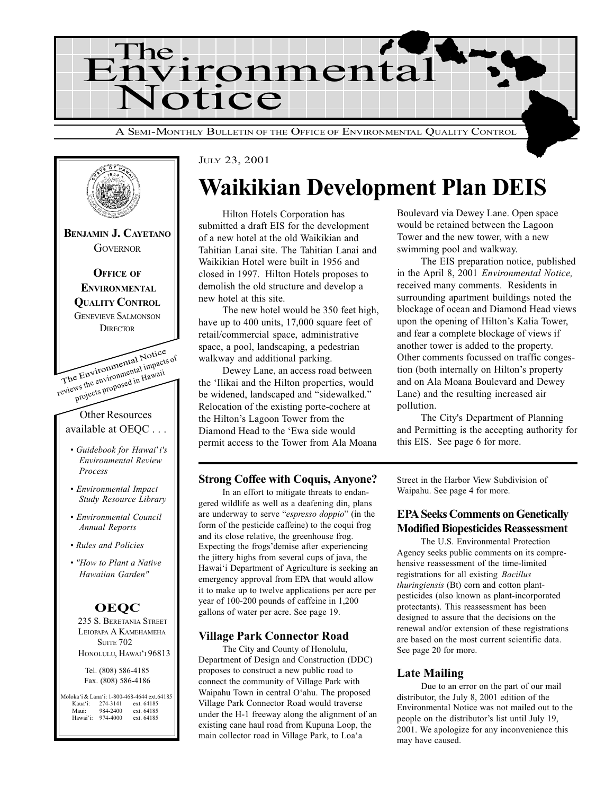



#### JULY 23, 2001

## Waikikian Development Plan DEIS

Hilton Hotels Corporation has submitted a draft EIS for the development of a new hotel at the old Waikikian and Tahitian Lanai site. The Tahitian Lanai and Waikikian Hotel were built in 1956 and closed in 1997. Hilton Hotels proposes to demolish the old structure and develop a new hotel at this site.

The new hotel would be 350 feet high, have up to 400 units, 17,000 square feet of retail/commercial space, administrative space, a pool, landscaping, a pedestrian walkway and additional parking.

Dewey Lane, an access road between the 'Ilikai and the Hilton properties, would be widened, landscaped and "sidewalked." Relocation of the existing porte-cochere at the Hilton's Lagoon Tower from the Diamond Head to the 'Ewa side would permit access to the Tower from Ala Moana

#### Strong Coffee with Coquis, Anyone?

In an effort to mitigate threats to endangered wildlife as well as a deafening din, plans are underway to serve "espresso doppio" (in the form of the pesticide caffeine) to the coqui frog and its close relative, the greenhouse frog. Expecting the frogs'demise after experiencing the jittery highs from several cups of java, the Hawai'i Department of Agriculture is seeking an emergency approval from EPA that would allow it to make up to twelve applications per acre per year of 100-200 pounds of caffeine in 1,200 gallons of water per acre. See page 19.

#### Village Park Connector Road

The City and County of Honolulu, Department of Design and Construction (DDC) proposes to construct a new public road to connect the community of Village Park with Waipahu Town in central O'ahu. The proposed Village Park Connector Road would traverse under the H-1 freeway along the alignment of an existing cane haul road from Kupuna Loop, the main collector road in Village Park, to Loa'a

Boulevard via Dewey Lane. Open space would be retained between the Lagoon Tower and the new tower, with a new swimming pool and walkway.

The EIS preparation notice, published in the April 8, 2001 Environmental Notice, received many comments. Residents in surrounding apartment buildings noted the blockage of ocean and Diamond Head views upon the opening of Hilton's Kalia Tower, and fear a complete blockage of views if another tower is added to the property. Other comments focussed on traffic congestion (both internally on Hilton's property and on Ala Moana Boulevard and Dewey Lane) and the resulting increased air pollution.

The City's Department of Planning and Permitting is the accepting authority for this EIS. See page 6 for more.

Street in the Harbor View Subdivision of Waipahu. See page 4 for more.

#### EPA Seeks Comments on Genetically Modified Biopesticides Reassessment

The U.S. Environmental Protection Agency seeks public comments on its comprehensive reassessment of the time-limited registrations for all existing Bacillus thuringiensis (Bt) corn and cotton plantpesticides (also known as plant-incorporated protectants). This reassessment has been designed to assure that the decisions on the renewal and/or extension of these registrations are based on the most current scientific data. See page 20 for more.

#### Late Mailing

Due to an error on the part of our mail distributor, the July 8, 2001 edition of the Environmental Notice was not mailed out to the people on the distributor's list until July 19, 2001. We apologize for any inconvenience this may have caused.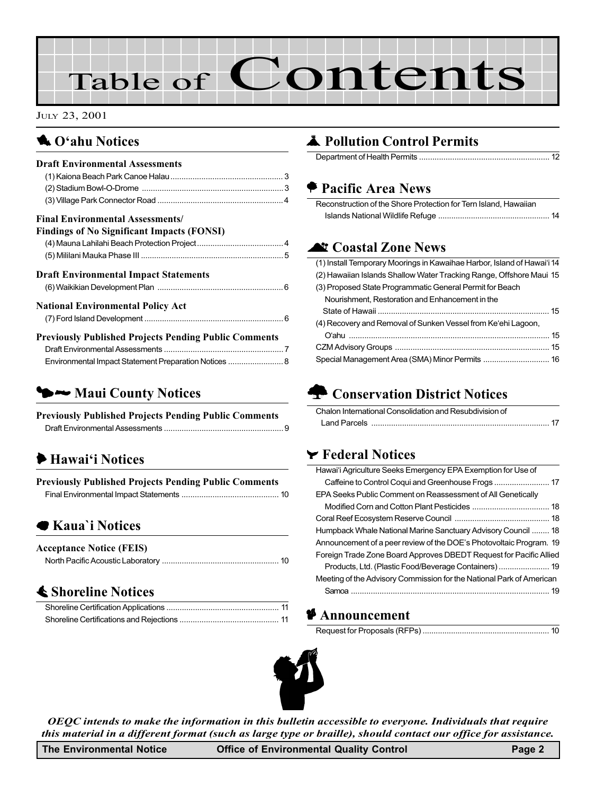# Table of Contents

#### JULY 23, 2001

## **1 O'ahu Notices**

## $\blacktriangleright\rightarrow$  Maui County Notices

Previously Published Projects Pending Public Comments Draft Environmental Assessments ...................................................... 9

## $\blacktriangleright$  Hawai'i Notices

| <b>Previously Published Projects Pending Public Comments</b> |  |
|--------------------------------------------------------------|--|
|                                                              |  |

## 7 Kaua`i Notices

| <b>Acceptance Notice (FEIS)</b> |  |
|---------------------------------|--|
|                                 |  |

## **≰ Shoreline Notices**

## **A** Pollution Control Permits

Department of Health Permits ........................................................... 12

## **Pacific Area News**

| Reconstruction of the Shore Protection for Tern Island, Hawaiian |  |
|------------------------------------------------------------------|--|
|                                                                  |  |

## **At Coastal Zone News**

| (1) Install Temporary Moorings in Kawaihae Harbor, Island of Hawai'i 14 |
|-------------------------------------------------------------------------|
| (2) Hawaiian Islands Shallow Water Tracking Range, Offshore Maui 15     |
| (3) Proposed State Programmatic General Permit for Beach                |
| Nourishment, Restoration and Enhancement in the                         |
|                                                                         |
| (4) Recovery and Removal of Sunken Vessel from Ke'ehi Lagoon,           |
|                                                                         |
|                                                                         |
| Special Management Area (SMA) Minor Permits  16                         |

## **n** Conservation District Notices

| Chalon International Consolidation and Resubdivision of |  |
|---------------------------------------------------------|--|
| Land Parcels                                            |  |

### $\blacktriangleright$  Federal Notices

| Hawai'i Agriculture Seeks Emergency EPA Exemption for Use of         |
|----------------------------------------------------------------------|
|                                                                      |
| EPA Seeks Public Comment on Reassessment of All Genetically          |
|                                                                      |
|                                                                      |
| Humpback Whale National Marine Sanctuary Advisory Council  18        |
| Announcement of a peer review of the DOE's Photovoltaic Program. 19  |
| Foreign Trade Zone Board Approves DBEDT Request for Pacific Allied   |
| Products, Ltd. (Plastic Food/Beverage Containers)  19                |
| Meeting of the Advisory Commission for the National Park of American |
|                                                                      |

#### **Announcement**



OEQC intends to make the information in this bulletin accessible to everyone. Individuals that require this material in a different format (such as large type or braille), should contact our office for assistance.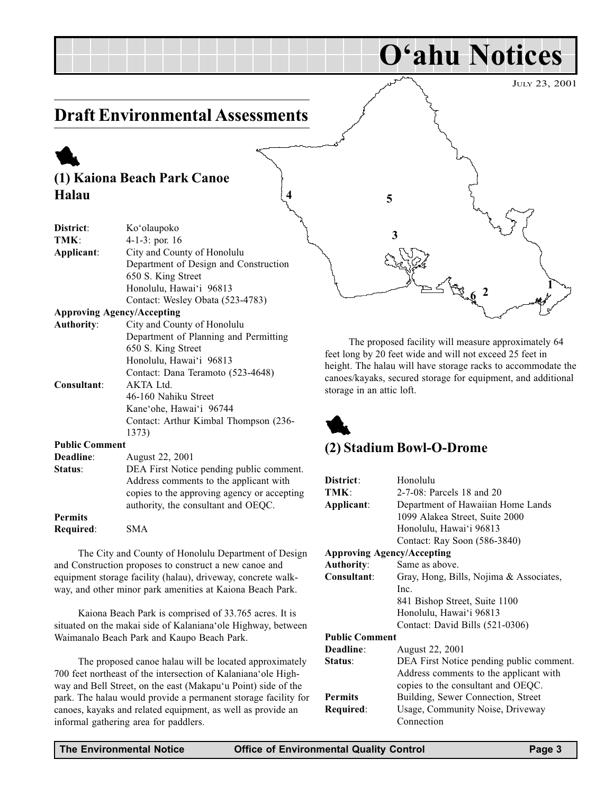## Draft Environmental Assessments

## (1) Kaiona Beach Park Canoe Halau

1

| District:                         | Ko'olaupoko                                 |
|-----------------------------------|---------------------------------------------|
| TMK:                              | 4-1-3: por. $16$                            |
| Applicant:                        | City and County of Honolulu                 |
|                                   | Department of Design and Construction       |
|                                   | 650 S. King Street                          |
|                                   | Honolulu, Hawai'i 96813                     |
|                                   | Contact: Wesley Obata (523-4783)            |
| <b>Approving Agency/Accepting</b> |                                             |
| <b>Authority:</b>                 | City and County of Honolulu                 |
|                                   | Department of Planning and Permitting       |
|                                   | 650 S. King Street                          |
|                                   | Honolulu, Hawai'i 96813                     |
|                                   | Contact: Dana Teramoto (523-4648)           |
| Consultant:                       | $AKTA$ Ltd.                                 |
|                                   | 46-160 Nahiku Street                        |
|                                   | Kane'ohe, Hawai'i 96744                     |
|                                   | Contact: Arthur Kimbal Thompson (236-       |
|                                   | 1373)                                       |
| <b>Public Comment</b>             |                                             |
| Deadline:                         | August 22, 2001                             |
| Status:                           | DEA First Notice pending public comment.    |
|                                   | Address comments to the applicant with      |
|                                   | copies to the approving agency or accepting |
|                                   | authority, the consultant and OEQC.         |
| <b>Permits</b>                    |                                             |
| Required:                         | <b>SMA</b>                                  |
|                                   |                                             |

The City and County of Honolulu Department of Design and Construction proposes to construct a new canoe and equipment storage facility (halau), driveway, concrete walkway, and other minor park amenities at Kaiona Beach Park.

Kaiona Beach Park is comprised of 33.765 acres. It is situated on the makai side of Kalaniana'ole Highway, between Waimanalo Beach Park and Kaupo Beach Park.

The proposed canoe halau will be located approximately 700 feet northeast of the intersection of Kalaniana'ole Highway and Bell Street, on the east (Makapu'u Point) side of the park. The halau would provide a permanent storage facility for canoes, kayaks and related equipment, as well as provide an informal gathering area for paddlers.



O'ahu Notices

The proposed facility will measure approximately 64 feet long by 20 feet wide and will not exceed 25 feet in height. The halau will have storage racks to accommodate the canoes/kayaks, secured storage for equipment, and additional storage in an attic loft.



#### (2) Stadium Bowl-O-Drome

| District:                         | Honolulu                                 |
|-----------------------------------|------------------------------------------|
| TMK:                              | 2-7-08: Parcels 18 and 20                |
| Applicant:                        | Department of Hawaiian Home Lands        |
|                                   | 1099 Alakea Street, Suite 2000           |
|                                   | Honolulu, Hawai'i 96813                  |
|                                   | Contact: Ray Soon (586-3840)             |
| <b>Approving Agency/Accepting</b> |                                          |
| <b>Authority:</b>                 | Same as above.                           |
| Consultant:                       | Gray, Hong, Bills, Nojima & Associates,  |
|                                   | Inc.                                     |
|                                   | 841 Bishop Street, Suite 1100            |
|                                   | Honolulu, Hawai'i 96813                  |
|                                   | Contact: David Bills (521-0306)          |
| <b>Public Comment</b>             |                                          |
| Deadline:                         | August 22, 2001                          |
| Status:                           | DEA First Notice pending public comment. |
|                                   | Address comments to the applicant with   |
|                                   | copies to the consultant and OEQC.       |
| <b>Permits</b>                    | Building, Sewer Connection, Street       |
| Required:                         | Usage, Community Noise, Driveway         |
|                                   | Connection                               |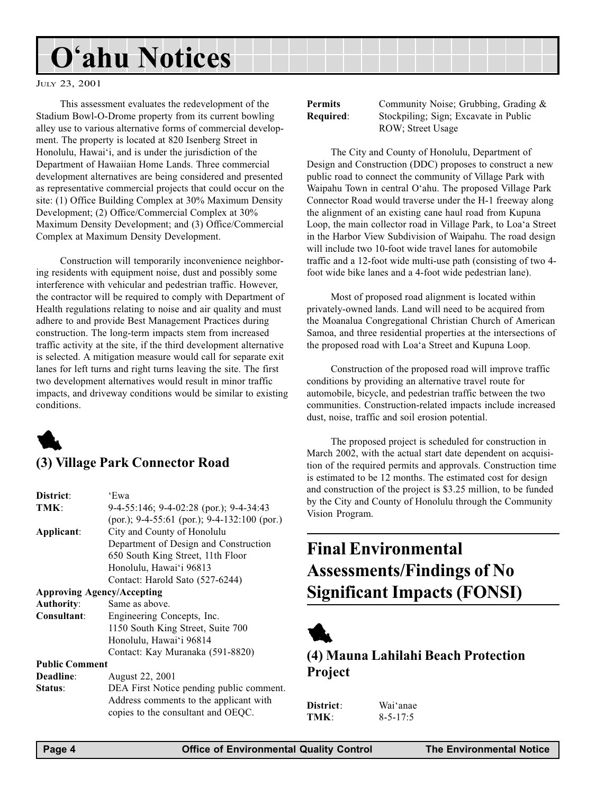## O'ahu Notices

#### JULY 23, 2001

This assessment evaluates the redevelopment of the Stadium Bowl-O-Drome property from its current bowling alley use to various alternative forms of commercial development. The property is located at 820 Isenberg Street in Honolulu, Hawai'i, and is under the jurisdiction of the Department of Hawaiian Home Lands. Three commercial development alternatives are being considered and presented as representative commercial projects that could occur on the site: (1) Office Building Complex at 30% Maximum Density Development; (2) Office/Commercial Complex at 30% Maximum Density Development; and (3) Office/Commercial Complex at Maximum Density Development.

Construction will temporarily inconvenience neighboring residents with equipment noise, dust and possibly some interference with vehicular and pedestrian traffic. However, the contractor will be required to comply with Department of Health regulations relating to noise and air quality and must adhere to and provide Best Management Practices during construction. The long-term impacts stem from increased traffic activity at the site, if the third development alternative is selected. A mitigation measure would call for separate exit lanes for left turns and right turns leaving the site. The first two development alternatives would result in minor traffic impacts, and driveway conditions would be similar to existing conditions.



## (3) Village Park Connector Road

| 'Ewa                                           |
|------------------------------------------------|
| $9-4-55:146$ ; $9-4-02:28$ (por.); $9-4-34:43$ |
| (por.); 9-4-55:61 (por.); 9-4-132:100 (por.)   |
| City and County of Honolulu                    |
| Department of Design and Construction          |
| 650 South King Street, 11th Floor              |
| Honolulu, Hawai'i 96813                        |
| Contact: Harold Sato (527-6244)                |
| <b>Approving Agency/Accepting</b>              |
| Same as above.                                 |
| Engineering Concepts, Inc.                     |
| 1150 South King Street, Suite 700              |
| Honolulu, Hawai'i 96814                        |
| Contact: Kay Muranaka (591-8820)               |
| <b>Public Comment</b>                          |
| August 22, 2001                                |
| DEA First Notice pending public comment.       |
|                                                |

Address comments to the applicant with copies to the consultant and OEQC.

Permits Community Noise; Grubbing, Grading & Required: Stockpiling; Sign; Excavate in Public ROW; Street Usage

The City and County of Honolulu, Department of Design and Construction (DDC) proposes to construct a new public road to connect the community of Village Park with Waipahu Town in central O'ahu. The proposed Village Park Connector Road would traverse under the H-1 freeway along the alignment of an existing cane haul road from Kupuna Loop, the main collector road in Village Park, to Loa'a Street in the Harbor View Subdivision of Waipahu. The road design will include two 10-foot wide travel lanes for automobile traffic and a 12-foot wide multi-use path (consisting of two 4 foot wide bike lanes and a 4-foot wide pedestrian lane).

Most of proposed road alignment is located within privately-owned lands. Land will need to be acquired from the Moanalua Congregational Christian Church of American Samoa, and three residential properties at the intersections of the proposed road with Loa'a Street and Kupuna Loop.

Construction of the proposed road will improve traffic conditions by providing an alternative travel route for automobile, bicycle, and pedestrian traffic between the two communities. Construction-related impacts include increased dust, noise, traffic and soil erosion potential.

The proposed project is scheduled for construction in March 2002, with the actual start date dependent on acquisition of the required permits and approvals. Construction time is estimated to be 12 months. The estimated cost for design and construction of the project is \$3.25 million, to be funded by the City and County of Honolulu through the Community Vision Program.

## Final Environmental Assessments/Findings of No Significant Impacts (FONSI)



## (4) Mauna Lahilahi Beach Protection Project

| District: | Wai'anae       |
|-----------|----------------|
| TMK:      | $8 - 5 - 17:5$ |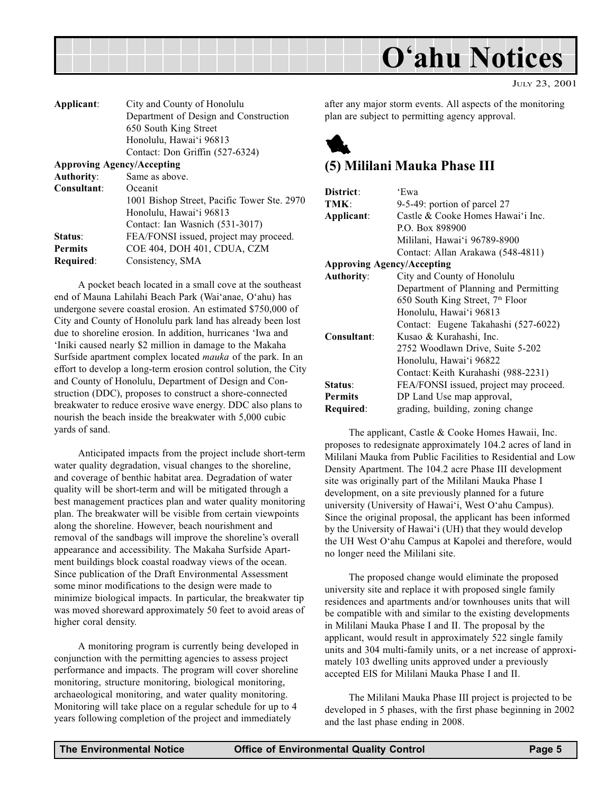

|  | JULY 23, 2001 |
|--|---------------|
|  |               |

| City and County of Honolulu                 |
|---------------------------------------------|
| Department of Design and Construction       |
| 650 South King Street                       |
| Honolulu, Hawai'i 96813                     |
| Contact: Don Griffin (527-6324)             |
| <b>Approving Agency/Accepting</b>           |
| Same as above.                              |
| Oceanit                                     |
| 1001 Bishop Street, Pacific Tower Ste. 2970 |
| Honolulu, Hawai'i 96813                     |
| Contact: Ian Wasnich (531-3017)             |
| FEA/FONSI issued, project may proceed.      |
| COE 404, DOH 401, CDUA, CZM                 |
| Consistency, SMA                            |
|                                             |

A pocket beach located in a small cove at the southeast end of Mauna Lahilahi Beach Park (Wai'anae, O'ahu) has undergone severe coastal erosion. An estimated \$750,000 of City and County of Honolulu park land has already been lost due to shoreline erosion. In addition, hurricanes 'Iwa and Iniki caused nearly \$2 million in damage to the Makaha Surfside apartment complex located mauka of the park. In an effort to develop a long-term erosion control solution, the City and County of Honolulu, Department of Design and Construction (DDC), proposes to construct a shore-connected breakwater to reduce erosive wave energy. DDC also plans to nourish the beach inside the breakwater with 5,000 cubic yards of sand.

Anticipated impacts from the project include short-term water quality degradation, visual changes to the shoreline, and coverage of benthic habitat area. Degradation of water quality will be short-term and will be mitigated through a best management practices plan and water quality monitoring plan. The breakwater will be visible from certain viewpoints along the shoreline. However, beach nourishment and removal of the sandbags will improve the shoreline's overall appearance and accessibility. The Makaha Surfside Apartment buildings block coastal roadway views of the ocean. Since publication of the Draft Environmental Assessment some minor modifications to the design were made to minimize biological impacts. In particular, the breakwater tip was moved shoreward approximately 50 feet to avoid areas of higher coral density.

A monitoring program is currently being developed in conjunction with the permitting agencies to assess project performance and impacts. The program will cover shoreline monitoring, structure monitoring, biological monitoring, archaeological monitoring, and water quality monitoring. Monitoring will take place on a regular schedule for up to 4 years following completion of the project and immediately

after any major storm events. All aspects of the monitoring plan are subject to permitting agency approval.



### (5) Mililani Mauka Phase III

| District:                         | 'Ewa                                   |
|-----------------------------------|----------------------------------------|
| TMK:                              | 9-5-49: portion of parcel 27           |
| Applicant:                        | Castle & Cooke Homes Hawai'i Inc.      |
|                                   | P.O. Box 898900                        |
|                                   | Mililani, Hawai'i 96789-8900           |
|                                   | Contact: Allan Arakawa (548-4811)      |
| <b>Approving Agency/Accepting</b> |                                        |
| <b>Authority:</b>                 | City and County of Honolulu            |
|                                   | Department of Planning and Permitting  |
|                                   | 650 South King Street, 7th Floor       |
|                                   | Honolulu, Hawai'i 96813                |
|                                   | Contact: Eugene Takahashi (527-6022)   |
| Consultant:                       | Kusao & Kurahashi, Inc.                |
|                                   | 2752 Woodlawn Drive, Suite 5-202       |
|                                   | Honolulu, Hawai'i 96822                |
|                                   | Contact: Keith Kurahashi (988-2231)    |
| Status:                           | FEA/FONSI issued, project may proceed. |
| <b>Permits</b>                    | DP Land Use map approval,              |
| Required:                         | grading, building, zoning change       |

The applicant, Castle & Cooke Homes Hawaii, Inc. proposes to redesignate approximately 104.2 acres of land in Mililani Mauka from Public Facilities to Residential and Low Density Apartment. The 104.2 acre Phase III development site was originally part of the Mililani Mauka Phase I development, on a site previously planned for a future university (University of Hawai'i, West O'ahu Campus). Since the original proposal, the applicant has been informed by the University of Hawai'i (UH) that they would develop the UH West O'ahu Campus at Kapolei and therefore, would no longer need the Mililani site.

The proposed change would eliminate the proposed university site and replace it with proposed single family residences and apartments and/or townhouses units that will be compatible with and similar to the existing developments in Mililani Mauka Phase I and II. The proposal by the applicant, would result in approximately 522 single family units and 304 multi-family units, or a net increase of approximately 103 dwelling units approved under a previously accepted EIS for Mililani Mauka Phase I and II.

The Mililani Mauka Phase III project is projected to be developed in 5 phases, with the first phase beginning in 2002 and the last phase ending in 2008.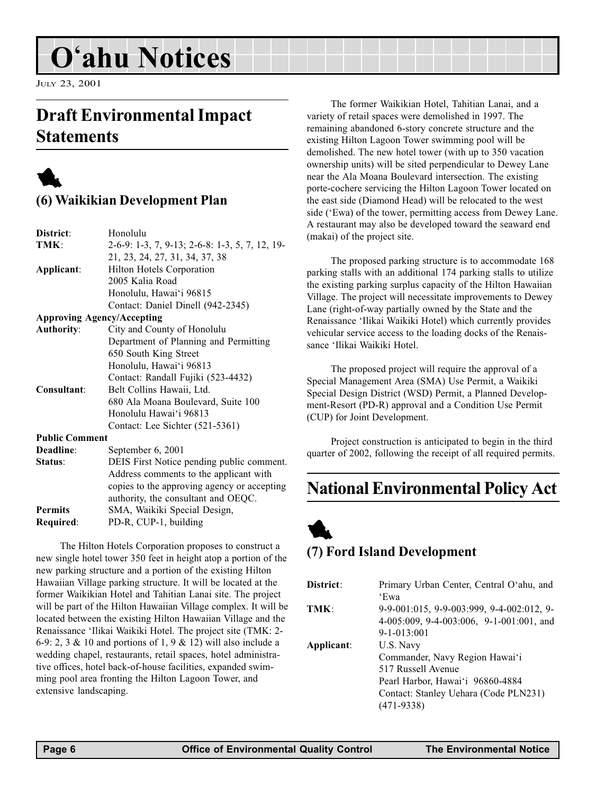## O'ahu Notices

JULY 23, 2001

## Draft Environmental Impact **Statements**

## 1

## (6) Waikikian Development Plan

| District:             | Honolulu                                       |
|-----------------------|------------------------------------------------|
| TMK:                  | 2-6-9: 1-3, 7, 9-13; 2-6-8: 1-3, 5, 7, 12, 19- |
|                       | 21, 23, 24, 27, 31, 34, 37, 38                 |
| Applicant:            | Hilton Hotels Corporation                      |
|                       | 2005 Kalia Road                                |
|                       | Honolulu, Hawai'i 96815                        |
|                       | Contact: Daniel Dinell (942-2345)              |
|                       | <b>Approving Agency/Accepting</b>              |
| <b>Authority:</b>     | City and County of Honolulu                    |
|                       | Department of Planning and Permitting          |
|                       | 650 South King Street                          |
|                       | Honolulu, Hawai'i 96813                        |
|                       | Contact: Randall Fujiki (523-4432)             |
| Consultant:           | Belt Collins Hawaii, Ltd.                      |
|                       | 680 Ala Moana Boulevard, Suite 100             |
|                       | Honolulu Hawai'i 96813                         |
|                       | Contact: Lee Sichter (521-5361)                |
| <b>Public Comment</b> |                                                |
| Deadline:             | September 6, 2001                              |
| Status:               | DEIS First Notice pending public comment.      |
|                       | Address comments to the applicant with         |
|                       | copies to the approving agency or accepting    |
|                       | authority, the consultant and OEQC.            |
| <b>Permits</b>        | SMA, Waikiki Special Design,                   |
| Required:             | PD-R, CUP-1, building                          |

The Hilton Hotels Corporation proposes to construct a new single hotel tower 350 feet in height atop a portion of the new parking structure and a portion of the existing Hilton Hawaiian Village parking structure. It will be located at the former Waikikian Hotel and Tahitian Lanai site. The project will be part of the Hilton Hawaiian Village complex. It will be located between the existing Hilton Hawaiian Village and the Renaissance 'Ilikai Waikiki Hotel. The project site (TMK: 2-6-9: 2, 3 & 10 and portions of 1, 9 & 12) will also include a wedding chapel, restaurants, retail spaces, hotel administrative offices, hotel back-of-house facilities, expanded swimming pool area fronting the Hilton Lagoon Tower, and extensive landscaping.

The former Waikikian Hotel, Tahitian Lanai, and a variety of retail spaces were demolished in 1997. The remaining abandoned 6-story concrete structure and the existing Hilton Lagoon Tower swimming pool will be demolished. The new hotel tower (with up to 350 vacation ownership units) will be sited perpendicular to Dewey Lane near the Ala Moana Boulevard intersection. The existing porte-cochere servicing the Hilton Lagoon Tower located on the east side (Diamond Head) will be relocated to the west side ('Ewa) of the tower, permitting access from Dewey Lane. A restaurant may also be developed toward the seaward end (makai) of the project site.

The proposed parking structure is to accommodate 168 parking stalls with an additional 174 parking stalls to utilize the existing parking surplus capacity of the Hilton Hawaiian Village. The project will necessitate improvements to Dewey Lane (right-of-way partially owned by the State and the Renaissance 'Ilikai Waikiki Hotel) which currently provides vehicular service access to the loading docks of the Renaissance 'Ilikai Waikiki Hotel.

The proposed project will require the approval of a Special Management Area (SMA) Use Permit, a Waikiki Special Design District (WSD) Permit, a Planned Development-Resort (PD-R) approval and a Condition Use Permit (CUP) for Joint Development.

Project construction is anticipated to begin in the third quarter of 2002, following the receipt of all required permits.

## National Environmental Policy Act

## 1 (7) Ford Island Development

| District:  | Primary Urban Center, Central O'ahu, and  |
|------------|-------------------------------------------|
|            | 'Ewa                                      |
| TMK:       | 9-9-001:015, 9-9-003:999, 9-4-002:012, 9- |
|            | 4-005:009, 9-4-003:006, 9-1-001:001, and  |
|            | $9 - 1 - 013:001$                         |
| Applicant: | U.S. Navy                                 |
|            | Commander, Navy Region Hawai'i            |
|            | 517 Russell Avenue                        |
|            | Pearl Harbor, Hawai'i 96860-4884          |
|            | Contact: Stanley Uehara (Code PLN231)     |
|            | $(471-9338)$                              |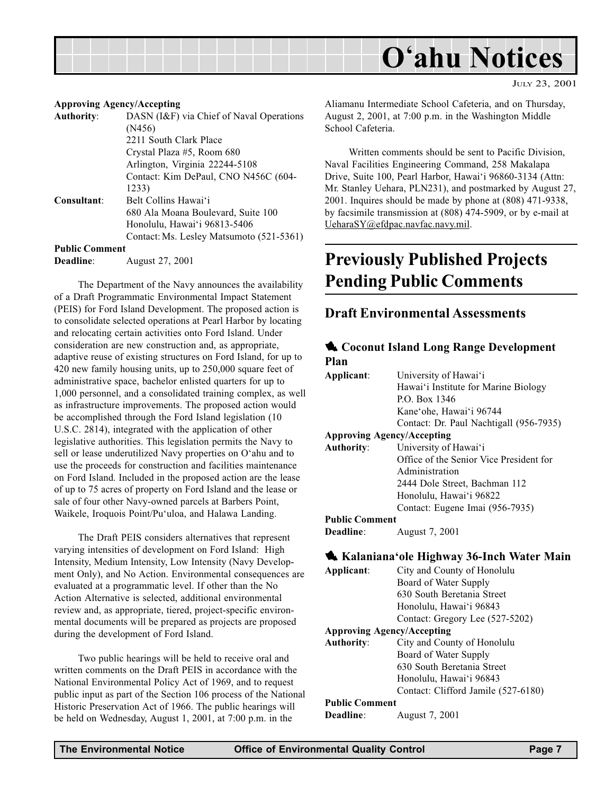

#### Approving Agency/Accepting

Authority: DASN (I&F) via Chief of Naval Operations (N456) 2211 South Clark Place Crystal Plaza #5, Room 680 Arlington, Virginia 22244-5108 Contact: Kim DePaul, CNO N456C (604- 1233) Consultant: Belt Collins Hawai'i 680 Ala Moana Boulevard, Suite 100 Honolulu, Hawai'i 96813-5406 Contact:Ms. Lesley Matsumoto (521-5361) Public Comment

Deadline: August 27, 2001

The Department of the Navy announces the availability of a Draft Programmatic Environmental Impact Statement (PEIS) for Ford Island Development. The proposed action is to consolidate selected operations at Pearl Harbor by locating and relocating certain activities onto Ford Island. Under consideration are new construction and, as appropriate, adaptive reuse of existing structures on Ford Island, for up to 420 new family housing units, up to 250,000 square feet of administrative space, bachelor enlisted quarters for up to 1,000 personnel, and a consolidated training complex, as well as infrastructure improvements. The proposed action would be accomplished through the Ford Island legislation (10 U.S.C. 2814), integrated with the application of other legislative authorities. This legislation permits the Navy to sell or lease underutilized Navy properties on O'ahu and to use the proceeds for construction and facilities maintenance on Ford Island. Included in the proposed action are the lease of up to 75 acres of property on Ford Island and the lease or sale of four other Navy-owned parcels at Barbers Point, Waikele, Iroquois Point/Pu'uloa, and Halawa Landing.

The Draft PEIS considers alternatives that represent varying intensities of development on Ford Island: High Intensity, Medium Intensity, Low Intensity (Navy Development Only), and No Action. Environmental consequences are evaluated at a programmatic level. If other than the No Action Alternative is selected, additional environmental review and, as appropriate, tiered, project-specific environmental documents will be prepared as projects are proposed during the development of Ford Island.

Two public hearings will be held to receive oral and written comments on the Draft PEIS in accordance with the National Environmental Policy Act of 1969, and to request public input as part of the Section 106 process of the National Historic Preservation Act of 1966. The public hearings will be held on Wednesday, August 1, 2001, at 7:00 p.m. in the

Aliamanu Intermediate School Cafeteria, and on Thursday, August 2, 2001, at 7:00 p.m. in the Washington Middle School Cafeteria.

JULY 23, 2001

Written comments should be sent to Pacific Division, Naval Facilities Engineering Command, 258 Makalapa Drive, Suite 100, Pearl Harbor, Hawai'i 96860-3134 (Attn: Mr. Stanley Uehara, PLN231), and postmarked by August 27, 2001. Inquires should be made by phone at (808) 471-9338, by facsimile transmission at (808) 474-5909, or by e-mail at UeharaSY@efdpac.navfac.navy.mil.

## Previously Published Projects Pending Public Comments

#### Draft Environmental Assessments

#### **4. Coconut Island Long Range Development** Plan

| Applicant:                        | University of Hawai'i                   |
|-----------------------------------|-----------------------------------------|
|                                   | Hawai'i Institute for Marine Biology    |
|                                   | P.O. Box 1346                           |
|                                   | Kane'ohe, Hawai'i 96744                 |
|                                   | Contact: Dr. Paul Nachtigall (956-7935) |
| <b>Approving Agency/Accepting</b> |                                         |
| <b>Authority:</b>                 | University of Hawai'i                   |
|                                   | Office of the Senior Vice President for |
|                                   | Administration                          |
|                                   | 2444 Dole Street, Bachman 112           |
|                                   | Honolulu, Hawai'i 96822                 |
|                                   | Contact: Eugene Imai (956-7935)         |
| <b>Public Comment</b>             |                                         |
| Deadline:                         | August 7, 2001                          |

#### **1.** Kalaniana'ole Highway 36-Inch Water Main Applicant: City and County of Honolulu Board of Water Supply 630 South Beretania Street Honolulu, Hawai'i 96843 Contact: Gregory Lee (527-5202) Approving Agency/Accepting Authority: City and County of Honolulu Board of Water Supply 630 South Beretania Street Honolulu, Hawai'i 96843

Contact: Clifford Jamile (527-6180)

#### Public Comment

| <b>Deadline:</b> | August 7, 2001 |  |
|------------------|----------------|--|
|------------------|----------------|--|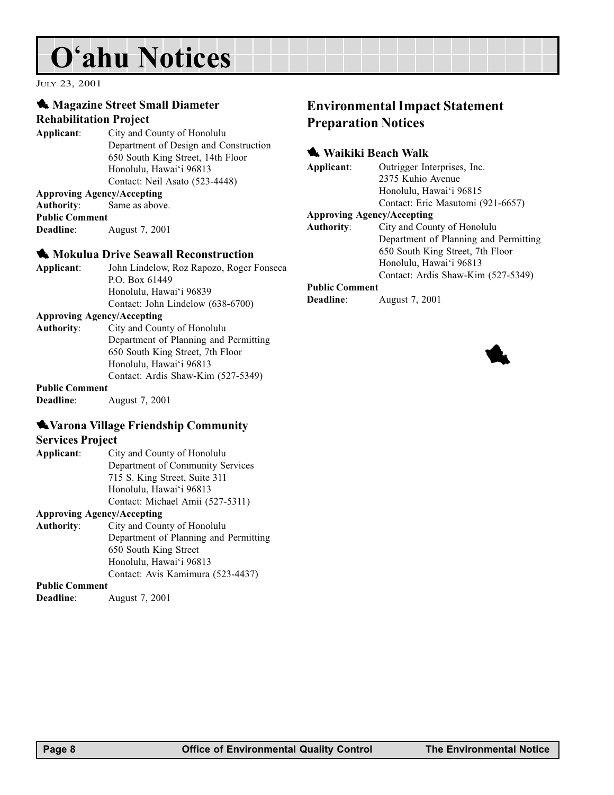## O'ahu Notices

JULY 23, 2001

#### **1** Magazine Street Small Diameter Rehabilitation Project

Applicant: City and County of Honolulu Department of Design and Construction 650 South King Street, 14th Floor Honolulu, Hawai'i 96813 Contact: Neil Asato (523-4448)

#### Approving Agency/Accepting

Authority: Same as above. Public Comment Deadline: August 7, 2001

#### **1** Mokulua Drive Seawall Reconstruction

| Applicant: | John Lindelow, Roz Rapozo, Roger Fonseca |
|------------|------------------------------------------|
|            | P.O. Box $61449$                         |
|            | Honolulu, Hawai'i 96839                  |
|            | Contact: John Lindelow (638-6700)        |

#### Approving Agency/Accepting

| Authority: | City and County of Honolulu           |
|------------|---------------------------------------|
|            | Department of Planning and Permitting |
|            | 650 South King Street, 7th Floor      |
|            | Honolulu, Hawai'i 96813               |
|            | Contact: Ardis Shaw-Kim (527-5349)    |
|            |                                       |

#### Public Comment

Deadline: August 7, 2001

### **Warona Village Friendship Community**

#### Services Project

| Applicant: | City and County of Honolulu      |
|------------|----------------------------------|
|            | Department of Community Services |
|            | 715 S. King Street, Suite 311    |
|            | Honolulu, Hawai'i 96813          |
|            | Contact: Michael Amii (527-5311) |
|            |                                  |

#### Approving Agency/Accepting

Authority: City and County of Honolulu Department of Planning and Permitting 650 South King Street Honolulu, Hawai'i 96813 Contact: Avis Kamimura (523-4437)

#### Public Comment

Deadline: August 7, 2001

## Environmental Impact Statement Preparation Notices

### **1 Waikiki Beach Walk**

Applicant: Outrigger Interprises, Inc.

2375 Kuhio Avenue Honolulu, Hawai'i 96815 Contact: Eric Masutomi (921-6657)

#### Approving Agency/Accepting

| <b>Authority:</b> | City and County of Honolulu           |
|-------------------|---------------------------------------|
|                   | Department of Planning and Permitting |
|                   | 650 South King Street, 7th Floor      |
|                   | Honolulu, Hawai'i 96813               |
|                   | Contact: Ardis Shaw-Kim (527-5349)    |

#### Public Comment

Deadline: August 7, 2001

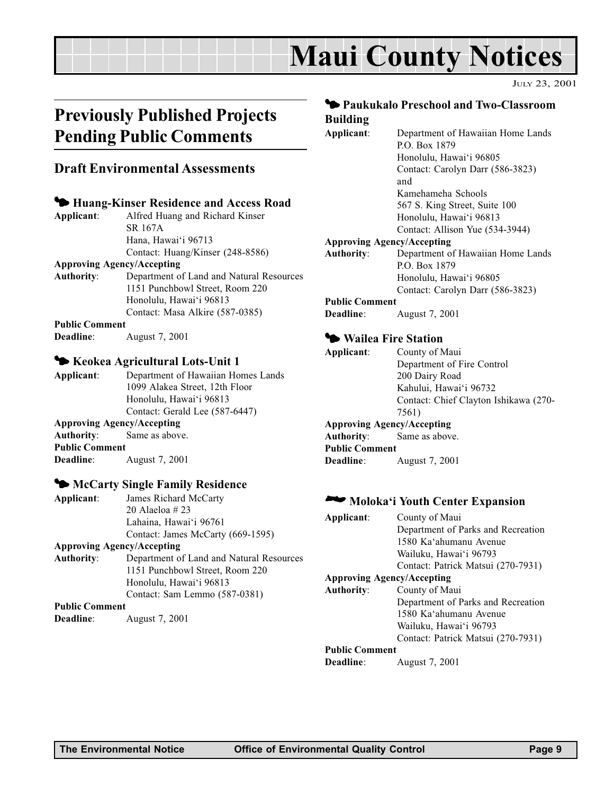## Maui County Notices

JULY 23, 2001

## Previously Published Projects Pending Public Comments

#### Draft Environmental Assessments

#### 3 Huang-Kinser Residence and Access Road

Applicant: Alfred Huang and Richard Kinser SR 167A Hana, Hawai'i 96713 Contact: Huang/Kinser (248-8586)

#### Approving Agency/Accepting

Authority: Department of Land and Natural Resources 1151 Punchbowl Street, Room 220 Honolulu, Hawai'i 96813 Contact: Masa Alkire (587-0385)

Public Comment

Deadline: August 7, 2001

#### 3 Keokea Agricultural Lots-Unit 1

Applicant: Department of Hawaiian Homes Lands 1099 Alakea Street, 12th Floor Honolulu, Hawai'i 96813 Contact: Gerald Lee (587-6447) Approving Agency/Accepting Authority: Same as above. Public Comment Deadline: August 7, 2001

#### $\blacklozenge$  McCarty Single Family Residence

Applicant: James Richard McCarty 20 Alaeloa # 23 Lahaina, Hawai'i 96761 Contact: James McCarty (669-1595)

#### Approving Agency/Accepting

Authority: Department of Land and Natural Resources 1151 Punchbowl Street, Room 220 Honolulu, Hawai'i 96813 Contact: Sam Lemmo (587-0381)

#### Public Comment

Deadline: August 7, 2001

#### 3 Paukukalo Preschool and Two-Classroom Building

Applicant: Department of Hawaiian Home Lands P.O. Box 1879 Honolulu, Hawai'i 96805 Contact: Carolyn Darr (586-3823) and Kamehameha Schools 567 S. King Street, Suite 100 Honolulu, Hawai'i 96813 Contact: Allison Yue (534-3944) Approving Agency/Accepting Authority: Department of Hawaiian Home Lands P.O. Box 1879 Honolulu, Hawai'i 96805 Contact: Carolyn Darr (586-3823) Public Comment Deadline: August 7, 2001

#### **3 Wailea Fire Station**

| Applicant:                        | County of Maui                        |
|-----------------------------------|---------------------------------------|
|                                   | Department of Fire Control            |
|                                   | 200 Dairy Road                        |
|                                   | Kahului, Hawai'i 96732                |
|                                   | Contact: Chief Clayton Ishikawa (270- |
|                                   | 7561)                                 |
| <b>Approving Agency/Accepting</b> |                                       |
| Authority:                        | Same as above.                        |
| <b>Public Comment</b>             |                                       |
| <b>Deadline:</b>                  | August 7, 2001                        |
|                                   |                                       |

#### **2000** Moloka'i Youth Center Expansion

| Applicant:                        | County of Maui                     |
|-----------------------------------|------------------------------------|
|                                   | Department of Parks and Recreation |
|                                   | 1580 Ka'ahumanu Avenue             |
|                                   | Wailuku, Hawai'i 96793             |
|                                   | Contact: Patrick Matsui (270-7931) |
| <b>Approving Agency/Accepting</b> |                                    |
| <b>Authority:</b>                 | County of Maui                     |
|                                   | Department of Parks and Recreation |
|                                   | 1580 Ka'ahumanu Avenue             |
|                                   | Wailuku, Hawai'i 96793             |
|                                   | Contact: Patrick Matsui (270-7931) |
| <b>Public Comment</b>             |                                    |
| Deadline:                         | August 7, 2001                     |
|                                   |                                    |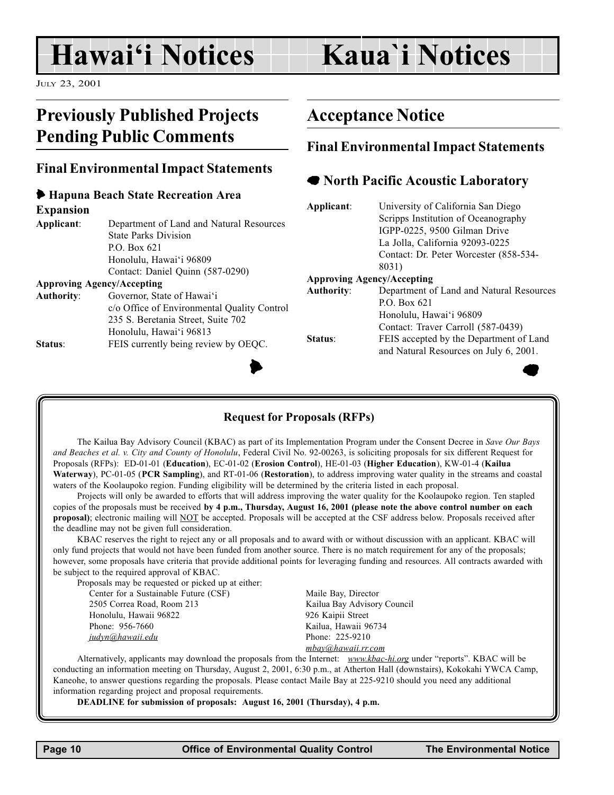## Hawai'i Notices

## Kaua`i Notices

JULY 23, 2001

## Previously Published Projects Pending Public Comments

### Final Environmental Impact Statements

#### 6 Hapuna Beach State Recreation Area Expansion

| Department of Land and Natural Resources    |
|---------------------------------------------|
| <b>State Parks Division</b>                 |
| P.O. Box $621$                              |
| Honolulu, Hawai'i 96809                     |
| Contact: Daniel Quinn (587-0290)            |
| <b>Approving Agency/Accepting</b>           |
| Governor, State of Hawai'i                  |
| c/o Office of Environmental Quality Control |
|                                             |

Honolulu, Hawai'i 96813 Status: FEIS currently being review by OEOC.

235 S. Beretania Street, Suite 702

## Acceptance Notice

### Final Environmental Impact Statements

### **The North Pacific Acoustic Laboratory**

|           | Applicant:        | University of California San Diego       |
|-----------|-------------------|------------------------------------------|
|           |                   | Scripps Institution of Oceanography      |
| esources  |                   | IGPP-0225, 9500 Gilman Drive             |
|           |                   | La Jolla, California 92093-0225          |
|           |                   | Contact: Dr. Peter Worcester (858-534-   |
|           |                   | 8031)                                    |
|           |                   | <b>Approving Agency/Accepting</b>        |
|           | <b>Authority:</b> | Department of Land and Natural Resources |
| y Control |                   | P.O. Box $621$                           |
|           |                   | Honolulu, Hawai'i 96809                  |
|           |                   | Contact: Traver Carroll (587-0439)       |
|           | Status:           | FEIS accepted by the Department of Land  |
| EQC.      |                   | and Natural Resources on July 6, 2001.   |
|           |                   |                                          |
|           |                   |                                          |



#### Request for Proposals (RFPs)

The Kailua Bay Advisory Council (KBAC) as part of its Implementation Program under the Consent Decree in Save Our Bays and Beaches et al. v. City and County of Honolulu, Federal Civil No. 92-00263, is soliciting proposals for six different Request for Proposals (RFPs): ED-01-01 (Education), EC-01-02 (Erosion Control), HE-01-03 (Higher Education), KW-01-4 (Kailua Waterway), PC-01-05 (PCR Sampling), and RT-01-06 (Restoration), to address improving water quality in the streams and coastal waters of the Koolaupoko region. Funding eligibility will be determined by the criteria listed in each proposal.

Projects will only be awarded to efforts that will address improving the water quality for the Koolaupoko region. Ten stapled copies of the proposals must be received by 4 p.m., Thursday, August 16, 2001 (please note the above control number on each proposal); electronic mailing will NOT be accepted. Proposals will be accepted at the CSF address below. Proposals received after the deadline may not be given full consideration.

KBAC reserves the right to reject any or all proposals and to award with or without discussion with an applicant. KBAC will only fund projects that would not have been funded from another source. There is no match requirement for any of the proposals; however, some proposals have criteria that provide additional points for leveraging funding and resources. All contracts awarded with be subject to the required approval of KBAC.

Proposals may be requested or picked up at either:

Center for a Sustainable Future (CSF) Maile Bay, Director 2505 Correa Road, Room 213 Kailua Bay Advisory Council Honolulu, Hawaii 96822 926 Kaipii Street Phone: 956-7660 Kailua, Hawaii 96734 judyn@hawaii.edu Phone: 225-9210

mbay@hawaii.rr.com

Alternatively, applicants may download the proposals from the Internet: www.kbac-hi.org under "reports". KBAC will be conducting an information meeting on Thursday, August 2, 2001, 6:30 p.m., at Atherton Hall (downstairs), Kokokahi YWCA Camp, Kaneohe, to answer questions regarding the proposals. Please contact Maile Bay at 225-9210 should you need any additional information regarding project and proposal requirements.

DEADLINE for submission of proposals: August 16, 2001 (Thursday), 4 p.m.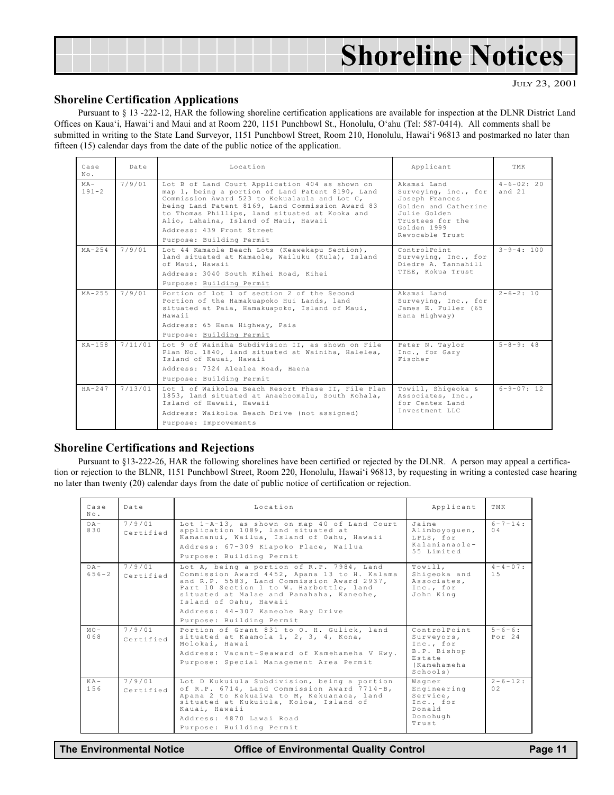| <b>Shoreline Notices</b> |
|--------------------------|
|--------------------------|

JULY 23, 2001

#### Shoreline Certification Applications

Pursuant to § 13 -222-12, HAR the following shoreline certification applications are available for inspection at the DLNR District Land Offices on Kaua'i, Hawai'i and Maui and at Room 220, 1151 Punchbowl St., Honolulu, O'ahu (Tel: 587-0414). All comments shall be submitted in writing to the State Land Surveyor, 1151 Punchbowl Street, Room 210, Honolulu, Hawai'i 96813 and postmarked no later than fifteen (15) calendar days from the date of the public notice of the application.

| Case<br>No.         | Date    | Location                                                                                                                                                                                                                                                                                                                                                     | Applicant                                                                                                                                           | TMK                   |
|---------------------|---------|--------------------------------------------------------------------------------------------------------------------------------------------------------------------------------------------------------------------------------------------------------------------------------------------------------------------------------------------------------------|-----------------------------------------------------------------------------------------------------------------------------------------------------|-----------------------|
| $MA -$<br>$191 - 2$ | 7/9/01  | Lot B of Land Court Application 404 as shown on<br>map 1, being a portion of Land Patent 8190, Land<br>Commission Award 523 to Kekualaula and Lot C,<br>being Land Patent 8169, Land Commission Award 83<br>to Thomas Phillips, land situated at Kooka and<br>Alio, Lahaina, Island of Maui, Hawaii<br>Address: 439 Front Street<br>Purpose: Building Permit | Akamai Land<br>Surveying, inc., for<br>Joseph Frances<br>Golden and Catherine<br>Julie Golden<br>Trustees for the<br>Golden 1999<br>Revocable Trust | $4-6-02:20$<br>and 21 |
| $MA - 254$          | 7/9/01  | Lot 44 Kamaole Beach Lots (Keawekapu Section),<br>land situated at Kamaole, Wailuku (Kula), Island<br>of Maui, Hawaii<br>Address: 3040 South Kihei Road, Kihei<br>Purpose: Building Permit                                                                                                                                                                   | ControlPoint<br>Surveying, Inc., for<br>Diedre A. Tannahill<br>TTEE, Kokua Trust                                                                    | $3 - 9 - 4:100$       |
| $MA - 2.5.5$        | 7/9/01  | Portion of lot 1 of section 2 of the Second<br>Portion of the Hamakuapoko Hui Lands, land<br>situated at Paia, Hamakuapoko, Island of Maui,<br>Hawaii<br>Address: 65 Hana Highway, Paia<br>Purpose: Building Permit                                                                                                                                          | Akamai Land<br>Surveying, Inc., for<br>James E. Fuller (65<br>Hana Highway)                                                                         | $2 - 6 - 2:10$        |
| $K_A - 1.58$        | 7/11/01 | Lot 9 of Wainiha Subdivision II, as shown on File<br>Plan No. 1840, land situated at Wainiha, Halelea,<br>Island of Kauai, Hawaii<br>Address: 7324 Alealea Road, Haena<br>Purpose: Building Permit                                                                                                                                                           | Peter N. Taylor<br>Inc., for Gary<br>Fischer                                                                                                        | $5 - 8 - 9:48$        |
| $HA - 247$          | 7/13/01 | Lot 1 of Waikoloa Beach Resort Phase II, File Plan<br>1853, land situated at Anaehoomalu, South Kohala,<br>Island of Hawaii, Hawaii<br>Address: Waikoloa Beach Drive (not assigned)<br>Purpose: Improvements                                                                                                                                                 | Towill, Shigeoka &<br>Associates, Inc.,<br>for Centex Land<br>Tnyestment LLC                                                                        | $6 - 9 - 07:12$       |

#### Shoreline Certifications and Rejections

Pursuant to §13-222-26, HAR the following shorelines have been certified or rejected by the DLNR. A person may appeal a certification or rejection to the BLNR, 1151 Punchbowl Street, Room 220, Honolulu, Hawai'i 96813, by requesting in writing a contested case hearing no later than twenty (20) calendar days from the date of public notice of certification or rejection.

| Case<br>$N \circ$ .         | Date                | Location                                                                                                                                                                                                                                                                                                                  | Applicant                                                                                  | TMK                         |
|-----------------------------|---------------------|---------------------------------------------------------------------------------------------------------------------------------------------------------------------------------------------------------------------------------------------------------------------------------------------------------------------------|--------------------------------------------------------------------------------------------|-----------------------------|
| $OA$ -<br>830               | 7/9/01<br>Certified | Lot 1-A-13, as shown on map 40 of Land Court<br>application 1089, land situated at<br>Kamananui, Wailua, Island of Oahu, Hawaii<br>Address: 67-309 Kiapoko Place, Wailua<br>Purpose: Building Permit                                                                                                                      | Jaime<br>Alimboyoquen,<br>LPLS, for<br>Kalanianaole-<br>55 Limited                         | $6 - 7 - 14$<br>$\bigcap$ 4 |
| O <sub>A</sub><br>$656 - 2$ | 7/9/01<br>Certified | Lot A, being a portion of R.P. 7984, Land<br>Commission Award 4452, Apana 13 to H. Kalama<br>and R.P. 5583, Land Commission Award 2937,<br>Part 10 Section 1 to W. Harbottle, land<br>situated at Malae and Panahaha, Kaneohe,<br>Island of Oahu, Hawaii<br>Address: 44-307 Kaneohe Bay Drive<br>Purpose: Building Permit | Towill.<br>Shiqeoka and<br>Associates.<br>Inc., for<br>John King                           | $4 - 4 - 0.7$ :<br>1.5      |
| $MO -$<br>068               | 7/9/01<br>Certified | Portion of Grant 831 to O. H. Gulick, land<br>situated at Kaamola 1, 2, 3, 4, Kona,<br>Molokai, Hawai<br>Address: Vacant-Seaward of Kamehameha V Hwy.<br>Purpose: Special Management Area Permit                                                                                                                          | ControlPoint<br>Surveyors,<br>Inc., for<br>B.P. Bishop<br>Estate<br>(Kamehameha<br>Schools | $5 - 6 - 6$ :<br>Port24     |
| $K A -$<br>156              | 7/9/01<br>Certified | Lot D Kukuiula Subdivision, being a portion<br>of R.P. 6714, Land Commission Award 7714-B,<br>Apana 2 to Kekuaiwa to M, Kekuanaoa, land<br>situated at Kukuiula, Koloa, Island of<br>Kauai, Hawaii<br>Address: 4870 Lawai Road<br>Purpose: Building Permit                                                                | Wagner<br>Engineering<br>Service.<br>Inc., for<br>Donald<br>Donohugh<br>Trust              | $2 - 6 - 12$ :<br>02        |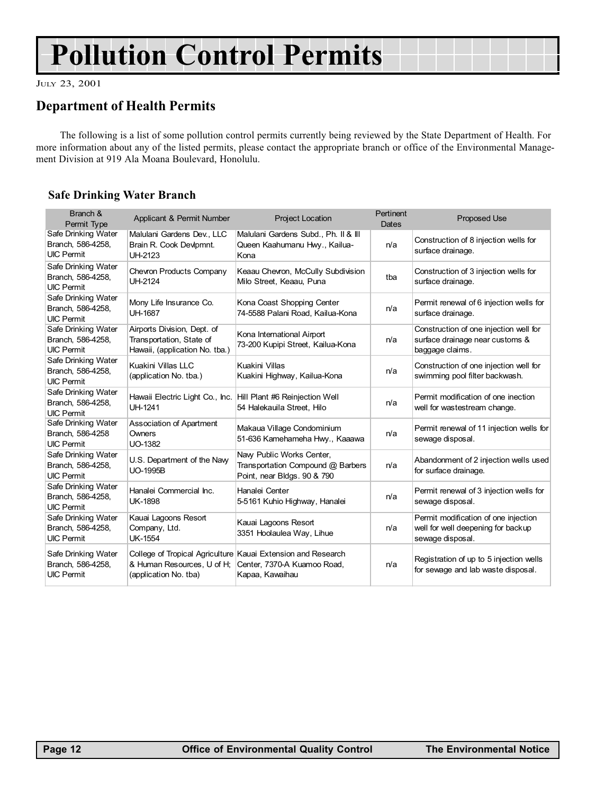## Pollution Control Permits

JULY 23, 2001

### Department of Health Permits

The following is a list of some pollution control permits currently being reviewed by the State Department of Health. For more information about any of the listed permits, please contact the appropriate branch or office of the Environmental Management Division at 919 Ala Moana Boulevard, Honolulu.

#### Safe Drinking Water Branch

| Branch &<br>Permit Type                                       | Applicant & Permit Number                                                                 | <b>Project Location</b>                                                                                        | Pertinent<br>Dates | <b>Proposed Use</b>                                                                            |
|---------------------------------------------------------------|-------------------------------------------------------------------------------------------|----------------------------------------------------------------------------------------------------------------|--------------------|------------------------------------------------------------------------------------------------|
| Safe Drinking Water<br>Branch, 586-4258,<br><b>UIC Permit</b> | Malulani Gardens Dev., LLC<br>Brain R. Cook Devlpmnt.<br><b>UH-2123</b>                   | Malulani Gardens Subd., Ph. II & III<br>Queen Kaahumanu Hwy., Kailua-<br>Kona                                  | n/a                | Construction of 8 injection wells for<br>surface drainage.                                     |
| Safe Drinking Water<br>Branch, 586-4258,<br><b>UIC Permit</b> | <b>Chevron Products Company</b><br>UH-2124                                                | Keaau Chevron, McCully Subdivision<br>Milo Street, Keaau, Puna                                                 | tba                | Construction of 3 injection wells for<br>surface drainage.                                     |
| Safe Drinking Water<br>Branch, 586-4258,<br><b>UIC Permit</b> | Mony Life Insurance Co.<br><b>UH-1687</b>                                                 | Kona Coast Shopping Center<br>74-5588 Palani Road, Kailua-Kona                                                 | n/a                | Permit renewal of 6 injection wells for<br>surface drainage.                                   |
| Safe Drinking Water<br>Branch, 586-4258,<br><b>UIC Permit</b> | Airports Division, Dept. of<br>Transportation, State of<br>Hawaii, (application No. tba.) | Kona International Airport<br>73-200 Kupipi Street, Kailua-Kona                                                | n/a                | Construction of one injection well for<br>surface drainage near customs &<br>baggage claims.   |
| Safe Drinking Water<br>Branch, 586-4258,<br><b>UIC Permit</b> | Kuakini Villas LLC<br>(application No. tba.)                                              | Kuakini Villas<br>Kuakini Highway, Kailua-Kona                                                                 | n/a                | Construction of one injection well for<br>swimming pool filter backwash.                       |
| Safe Drinking Water<br>Branch, 586-4258,<br><b>UIC Permit</b> | Hawaii Electric Light Co., Inc. Hill Plant #6 Reinjection Well<br><b>UH-1241</b>          | 54 Halekauila Street, Hilo                                                                                     | n/a                | Permit modification of one inection<br>well for wastestream change.                            |
| Safe Drinking Water<br>Branch, 586-4258<br><b>UIC Permit</b>  | Association of Apartment<br>Owners<br><b>UO-1382</b>                                      | Makaua Village Condominium<br>51-636 Kamehameha Hwy., Kaaawa                                                   | n/a                | Permit renewal of 11 injection wells for<br>sewage disposal.                                   |
| Safe Drinking Water<br>Branch, 586-4258,<br><b>UIC Permit</b> | U.S. Department of the Navy<br><b>UO-1995B</b>                                            | Navy Public Works Center,<br>Transportation Compound @ Barbers<br>Point, near Bldgs. 90 & 790                  | n/a                | Abandonment of 2 injection wells used<br>for surface drainage.                                 |
| Safe Drinking Water<br>Branch, 586-4258,<br><b>UIC Permit</b> | Hanalei Commercial Inc.<br><b>UK-1898</b>                                                 | Hanalei Center<br>5-5161 Kuhio Highway, Hanalei                                                                | n/a                | Permit renewal of 3 injection wells for<br>sewage disposal.                                    |
| Safe Drinking Water<br>Branch, 586-4258,<br><b>UIC Permit</b> | Kauai Lagoons Resort<br>Company, Ltd.<br><b>UK-1554</b>                                   | Kauai Lagoons Resort<br>3351 Hoolaulea Way, Lihue                                                              | n/a                | Permit modification of one injection<br>well for well deepening for backup<br>sewage disposal. |
| Safe Drinking Water<br>Branch, 586-4258,<br><b>UIC Permit</b> | & Human Resources, U of H;<br>(application No. tba)                                       | College of Tropical Agriculture Kauai Extension and Research<br>Center, 7370-A Kuamoo Road,<br>Kapaa, Kawaihau | n/a                | Registration of up to 5 injection wells<br>for sewage and lab waste disposal.                  |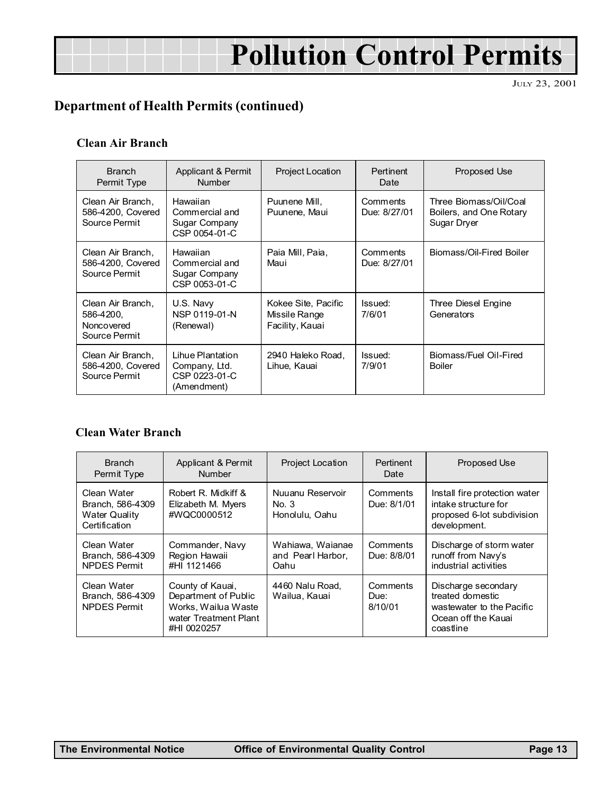## Pollution Control Permits

JULY 23, 2001

## Department of Health Permits (continued)

#### Clean Air Branch

| <b>Branch</b><br>Permit Type                                  | Applicant & Permit<br><b>Number</b>                               | <b>Project Location</b>                                 | <b>Pertinent</b><br>Date | Proposed Use                                                     |
|---------------------------------------------------------------|-------------------------------------------------------------------|---------------------------------------------------------|--------------------------|------------------------------------------------------------------|
| Clean Air Branch.<br>586-4200, Covered<br>Source Permit       | Hawaiian<br>Commercial and<br>Sugar Company<br>CSP 0054-01-C      | Puunene Mill.<br>Puunene, Maui                          | Comments<br>Due: 8/27/01 | Three Biomass/Oil/Coal<br>Boilers, and One Rotary<br>Sugar Dryer |
| Clean Air Branch,<br>586-4200, Covered<br>Source Permit       | Hawaiian<br>Commercial and<br>Sugar Company<br>CSP 0053-01-C      | Paia Mill, Paia,<br>Maui                                | Comments<br>Due: 8/27/01 | Biomass/Oil-Fired Boiler                                         |
| Clean Air Branch,<br>586-4200.<br>Noncovered<br>Source Permit | U.S. Navy<br>NSP 0119-01-N<br>(Renewal)                           | Kokee Site, Pacific<br>Missile Range<br>Facility, Kauai | Issued:<br>7/6/01        | Three Diesel Engine<br>Generators                                |
| Clean Air Branch.<br>586-4200, Covered<br>Source Permit       | Lihue Plantation<br>Company, Ltd.<br>CSP 0223-01-C<br>(Amendment) | 2940 Haleko Road.<br>Lihue, Kauai                       | Issued:<br>7/9/01        | Biomass/Fuel Oil-Fired<br><b>Boiler</b>                          |

#### Clean Water Branch

| <b>Branch</b><br>Permit Type                                             | Applicant & Permit<br><b>Number</b>                                                                     | <b>Project Location</b>                       | Pertinent<br>Date           | Proposed Use                                                                                             |
|--------------------------------------------------------------------------|---------------------------------------------------------------------------------------------------------|-----------------------------------------------|-----------------------------|----------------------------------------------------------------------------------------------------------|
| Clean Water<br>Branch, 586-4309<br><b>Water Quality</b><br>Certification | Robert R. Midkiff &<br>Elizabeth M. Myers<br>#WQC0000512                                                | Nuuanu Reservoir<br>No. 3<br>Honolulu, Oahu   | Comments<br>Due: 8/1/01     | Install fire protection water<br>intake structure for<br>proposed 6-lot subdivision<br>development.      |
| Clean Water<br>Branch, 586-4309<br><b>NPDES Permit</b>                   | Commander, Navy<br>Region Hawaii<br>#HI 1121466                                                         | Wahiawa, Waianae<br>and Pearl Harbor.<br>Oahu | Comments<br>Due: 8/8/01     | Discharge of storm water<br>runoff from Navy's<br>industrial activities                                  |
| Clean Water<br>Branch, 586-4309<br><b>NPDES Permit</b>                   | County of Kauai,<br>Department of Public<br>Works, Wailua Waste<br>water Treatment Plant<br>#HI 0020257 | 4460 Nalu Road,<br>Wailua, Kauai              | Comments<br>Due:<br>8/10/01 | Discharge secondary<br>treated domestic<br>wastewater to the Pacific<br>Ocean off the Kauai<br>coastline |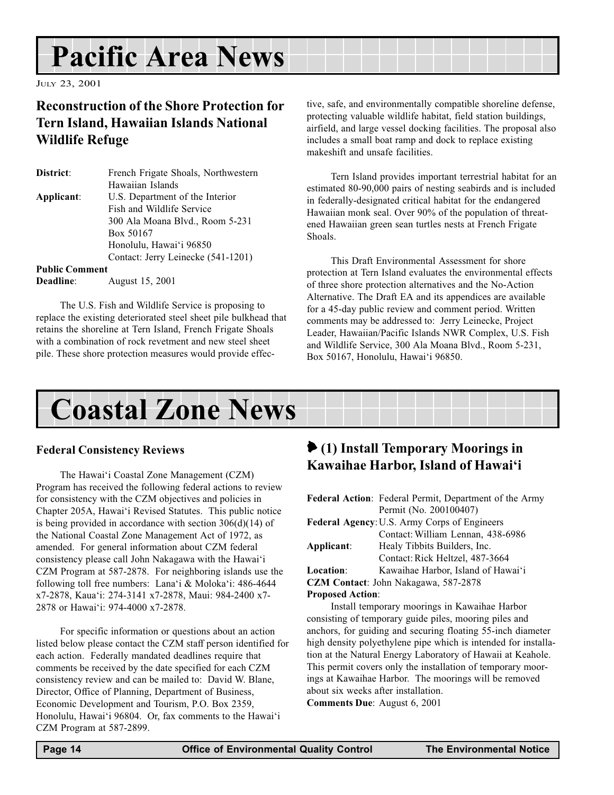## Pacific Area News

JULY 23, 2001

### Reconstruction of the Shore Protection for Tern Island, Hawaiian Islands National Wildlife Refuge

| District:             | French Frigate Shoals, Northwestern |
|-----------------------|-------------------------------------|
|                       | Hawaiian Islands                    |
| Applicant:            | U.S. Department of the Interior     |
|                       | Fish and Wildlife Service           |
|                       | 300 Ala Moana Blvd., Room 5-231     |
|                       | Box 50167                           |
|                       | Honolulu, Hawai'i 96850             |
|                       | Contact: Jerry Leinecke (541-1201)  |
| <b>Public Comment</b> |                                     |

Deadline: August 15, 2001

The U.S. Fish and Wildlife Service is proposing to replace the existing deteriorated steel sheet pile bulkhead that retains the shoreline at Tern Island, French Frigate Shoals with a combination of rock revetment and new steel sheet pile. These shore protection measures would provide effective, safe, and environmentally compatible shoreline defense, protecting valuable wildlife habitat, field station buildings, airfield, and large vessel docking facilities. The proposal also includes a small boat ramp and dock to replace existing makeshift and unsafe facilities.

Tern Island provides important terrestrial habitat for an estimated 80-90,000 pairs of nesting seabirds and is included in federally-designated critical habitat for the endangered Hawaiian monk seal. Over 90% of the population of threatened Hawaiian green sean turtles nests at French Frigate Shoals.

This Draft Environmental Assessment for shore protection at Tern Island evaluates the environmental effects of three shore protection alternatives and the No-Action Alternative. The Draft EA and its appendices are available for a 45-day public review and comment period. Written comments may be addressed to: Jerry Leinecke, Project Leader, Hawaiian/Pacific Islands NWR Complex, U.S. Fish and Wildlife Service, 300 Ala Moana Blvd., Room 5-231, Box 50167, Honolulu, Hawai'i 96850.

Coastal Zone News

#### Federal Consistency Reviews

The Hawai'i Coastal Zone Management (CZM) Program has received the following federal actions to review for consistency with the CZM objectives and policies in Chapter 205A, Hawai'i Revised Statutes. This public notice is being provided in accordance with section 306(d)(14) of the National Coastal Zone Management Act of 1972, as amended. For general information about CZM federal consistency please call John Nakagawa with the Hawai'i CZM Program at 587-2878. For neighboring islands use the following toll free numbers: Lana'i & Moloka'i:  $486-4644$ x7-2878, Kaua'i: 274-3141 x7-2878, Maui: 984-2400 x7-2878 or Hawai'i: 974-4000 x7-2878.

For specific information or questions about an action listed below please contact the CZM staff person identified for each action. Federally mandated deadlines require that comments be received by the date specified for each CZM consistency review and can be mailed to: David W. Blane, Director, Office of Planning, Department of Business, Economic Development and Tourism, P.O. Box 2359, Honolulu, Hawai'i 96804. Or, fax comments to the Hawai'i CZM Program at 587-2899.

## 6 (1) Install Temporary Moorings in Kawaihae Harbor, Island of Hawai'i

| <b>Federal Action:</b> Federal Permit, Department of the Army |
|---------------------------------------------------------------|
| Permit (No. 200100407)                                        |
| Federal Agency: U.S. Army Corps of Engineers                  |
| Contact: William Lennan, 438-6986                             |
| Healy Tibbits Builders, Inc.                                  |
| Contact: Rick Heltzel, 487-3664                               |
| Kawaihae Harbor, Island of Hawai'i                            |
| CZM Contact: John Nakagawa, 587-2878                          |
| <b>Proposed Action:</b>                                       |
|                                                               |

Install temporary moorings in Kawaihae Harbor consisting of temporary guide piles, mooring piles and anchors, for guiding and securing floating 55-inch diameter high density polyethylene pipe which is intended for installation at the Natural Energy Laboratory of Hawaii at Keahole. This permit covers only the installation of temporary moorings at Kawaihae Harbor. The moorings will be removed about six weeks after installation.

Comments Due: August 6, 2001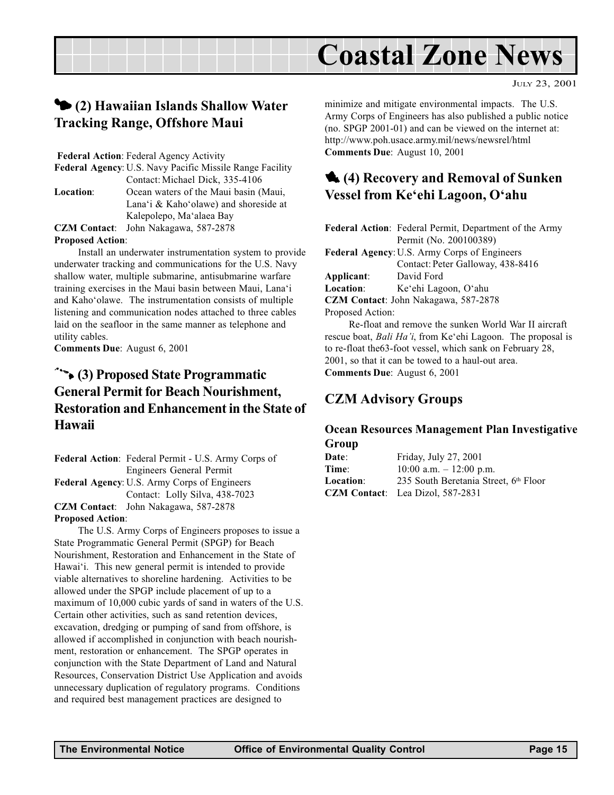## Coastal Zone News

## 3 (2) Hawaiian Islands Shallow Water Tracking Range, Offshore Maui

Federal Action: Federal Agency Activity

Federal Agency: U.S. Navy Pacific Missile Range Facility Contact:Michael Dick, 335-4106 Location: Ocean waters of the Maui basin (Maui, Lana'i & Kaho'olawe) and shoreside at Kalepolepo, Ma'alaea Bay CZM Contact: John Nakagawa, 587-2878

#### Proposed Action:

Install an underwater instrumentation system to provide underwater tracking and communications for the U.S. Navy shallow water, multiple submarine, antisubmarine warfare training exercises in the Maui basin between Maui, Lana'i and Kaho'olawe. The instrumentation consists of multiple listening and communication nodes attached to three cables laid on the seafloor in the same manner as telephone and utility cables.

Comments Due: August 6, 2001

## $\rightarrow$  (3) Proposed State Programmatic General Permit for Beach Nourishment, Restoration and Enhancement in the State of Hawaii

Federal Action: Federal Permit - U.S. Army Corps of Engineers General Permit Federal Agency: U.S. Army Corps of Engineers Contact: Lolly Silva, 438-7023 CZM Contact: John Nakagawa, 587-2878

#### Proposed Action:

The U.S. Army Corps of Engineers proposes to issue a State Programmatic General Permit (SPGP) for Beach Nourishment, Restoration and Enhancement in the State of Hawai<sup>'</sup>i. This new general permit is intended to provide viable alternatives to shoreline hardening. Activities to be allowed under the SPGP include placement of up to a maximum of 10,000 cubic yards of sand in waters of the U.S. Certain other activities, such as sand retention devices, excavation, dredging or pumping of sand from offshore, is allowed if accomplished in conjunction with beach nourishment, restoration or enhancement. The SPGP operates in conjunction with the State Department of Land and Natural Resources, Conservation District Use Application and avoids unnecessary duplication of regulatory programs. Conditions and required best management practices are designed to

minimize and mitigate environmental impacts. The U.S. Army Corps of Engineers has also published a public notice (no. SPGP 2001-01) and can be viewed on the internet at: http://www.poh.usace.army.mil/news/newsrel/html Comments Due: August 10, 2001

## **1** (4) Recovery and Removal of Sunken Vessel from Ke'ehi Lagoon, O'ahu

|                                                      | Federal Action: Federal Permit, Department of the Army |  |
|------------------------------------------------------|--------------------------------------------------------|--|
|                                                      | Permit (No. 200100389)                                 |  |
|                                                      | Federal Agency: U.S. Army Corps of Engineers           |  |
|                                                      | Contact: Peter Galloway, 438-8416                      |  |
| Applicant:                                           | David Ford                                             |  |
| Location:                                            | Ke'ehi Lagoon, O'ahu                                   |  |
| <b>CZM Contact:</b> John Nakagawa, 587-2878          |                                                        |  |
| Proposed Action:                                     |                                                        |  |
| Re-float and remove the sunken World War II aircraft |                                                        |  |

Re-float and remove the sunken World War II aircraft rescue boat, Bali Ha'i, from Ke'ehi Lagoon. The proposal is to re-float the63-foot vessel, which sank on February 28, 2001, so that it can be towed to a haul-out area. Comments Due: August 6, 2001

### CZM Advisory Groups

#### Ocean Resources Management Plan Investigative Group

| Friday, July 27, 2001                    |
|------------------------------------------|
| 10:00 a.m. $- 12:00$ p.m.                |
| 235 South Beretania Street, 6th Floor    |
| <b>CZM Contact</b> : Lea Dizol, 587-2831 |
|                                          |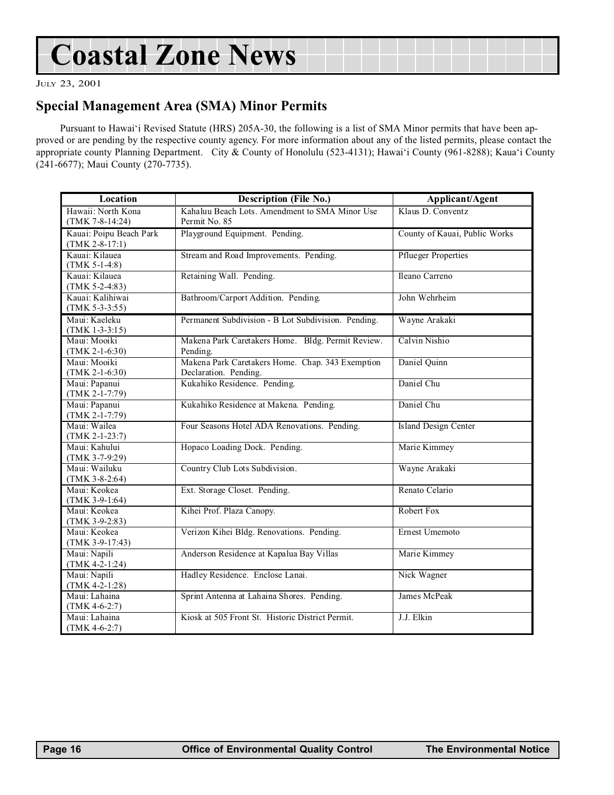## Coastal Zone News

JULY 23, 2001

### Special Management Area (SMA) Minor Permits

Pursuant to Hawai'i Revised Statute (HRS) 205A-30, the following is a list of SMA Minor permits that have been approved or are pending by the respective county agency. For more information about any of the listed permits, please contact the appropriate county Planning Department. City & County of Honolulu (523-4131); Hawai'i County (961-8288); Kaua'i County (241-6677); Maui County (270-7735).

| Location                                    | <b>Description (File No.)</b>                                             | Applicant/Agent               |
|---------------------------------------------|---------------------------------------------------------------------------|-------------------------------|
| Hawaii: North Kona<br>$(TMK 7-8-14:24)$     | Kahaluu Beach Lots. Amendment to SMA Minor Use<br>Permit No. 85           | Klaus D. Conventz             |
| Kauai: Poipu Beach Park<br>$(TMK 2-8-17:1)$ | Playground Equipment. Pending.                                            | County of Kauai, Public Works |
| Kauai: Kilauea<br>$(TMK 5-1-4:8)$           | Stream and Road Improvements. Pending.                                    | <b>Pflueger Properties</b>    |
| Kauai: Kilauea<br>$(TMK 5-2-4:83)$          | Retaining Wall. Pending.                                                  | Ileano Carreno                |
| Kauai: Kalihiwai<br>$(TMK 5-3-3:55)$        | Bathroom/Carport Addition. Pending.                                       | John Wehrheim                 |
| Maui: Kaeleku<br>$(TMK 1-3-3:15)$           | Permanent Subdivision - B Lot Subdivision. Pending.                       | Wayne Arakaki                 |
| Maui: Mooiki<br>$(TMK 2-1-6:30)$            | Makena Park Caretakers Home. Bldg. Permit Review.<br>Pending.             | Calvin Nishio                 |
| Maui: Mooiki<br>$(TMK 2-1-6:30)$            | Makena Park Caretakers Home. Chap. 343 Exemption<br>Declaration. Pending. | Daniel Quinn                  |
| Maui: Papanui<br>$(TMK 2-1-7:79)$           | Kukahiko Residence. Pending.                                              | Daniel Chu                    |
| Maui: Papanui<br>$(TMK 2-1-7:79)$           | Kukahiko Residence at Makena. Pending.                                    | Daniel Chu                    |
| Maui: Wailea<br>$(TMK 2-1-23:7)$            | Four Seasons Hotel ADA Renovations. Pending.                              | <b>Island Design Center</b>   |
| Maui: Kahului<br>$(TMK 3-7-9:29)$           | Hopaco Loading Dock. Pending.                                             | Marie Kimmey                  |
| Maui: Wailuku<br>$(TMK 3-8-2:64)$           | Country Club Lots Subdivision.                                            | Wayne Arakaki                 |
| Maui: Keokea<br>$(TMK 3-9-1:64)$            | Ext. Storage Closet. Pending.                                             | Renato Celario                |
| Maui: Keokea<br>$(TMK 3-9-2:83)$            | Kihei Prof. Plaza Canopy.                                                 | Robert Fox                    |
| Maui: Keokea<br>$(TMK 3-9-17:43)$           | Verizon Kihei Bldg. Renovations. Pending.                                 | Ernest Umemoto                |
| Maui: Napili<br>$(TMK 4-2-1:24)$            | Anderson Residence at Kapalua Bay Villas                                  | Marie Kimmey                  |
| Maui: Napili<br>$(TMK 4-2-1:28)$            | Hadley Residence. Enclose Lanai.                                          | Nick Wagner                   |
| Maui: Lahaina<br>$(TMK 4-6-2:7)$            | Sprint Antenna at Lahaina Shores. Pending.                                | James McPeak                  |
| Maui: Lahaina<br>$(TMK 4-6-2:7)$            | Kiosk at 505 Front St. Historic District Permit.                          | J.J. Elkin                    |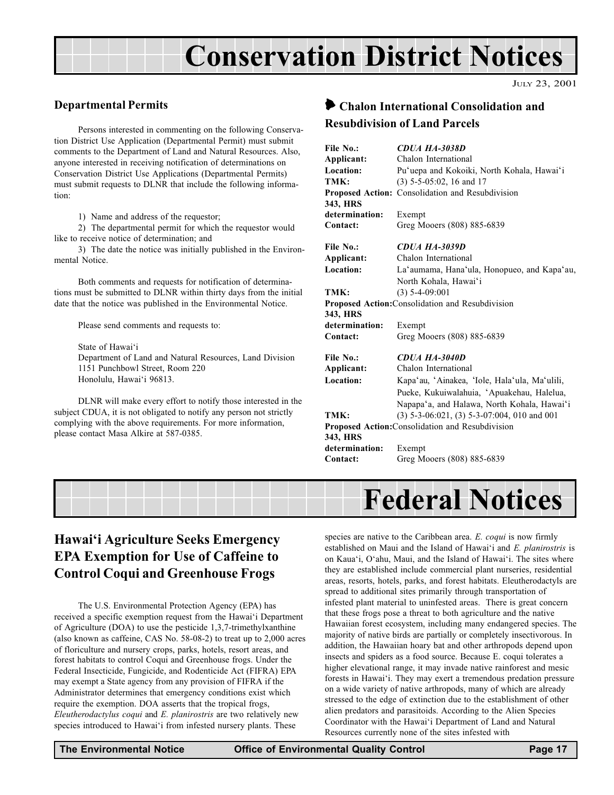## Conservation District Notices

JULY 23, 2001

#### Departmental Permits

Persons interested in commenting on the following Conservation District Use Application (Departmental Permit) must submit comments to the Department of Land and Natural Resources. Also, anyone interested in receiving notification of determinations on Conservation District Use Applications (Departmental Permits) must submit requests to DLNR that include the following information:

1) Name and address of the requestor;

2) The departmental permit for which the requestor would like to receive notice of determination; and

3) The date the notice was initially published in the Environmental Notice.

Both comments and requests for notification of determinations must be submitted to DLNR within thirty days from the initial date that the notice was published in the Environmental Notice.

Please send comments and requests to:

State of Hawai'i Department of Land and Natural Resources, Land Division 1151 Punchbowl Street, Room 220 Honolulu, Hawai'i 96813.

DLNR will make every effort to notify those interested in the subject CDUA, it is not obligated to notify any person not strictly complying with the above requirements. For more information, please contact Masa Alkire at 587-0385.

### 6 Chalon International Consolidation and Resubdivision of Land Parcels

| File No.:                                                    | <b>CDUA HA-3038D</b>                             |
|--------------------------------------------------------------|--------------------------------------------------|
| Applicant:                                                   | Chalon International                             |
| Location:                                                    | Pu'uepa and Kokoiki, North Kohala, Hawai'i       |
| TMK:                                                         | $(3)$ 5-5-05:02, 16 and 17                       |
|                                                              | Proposed Action: Consolidation and Resubdivision |
| 343, HRS                                                     |                                                  |
| determination:                                               | Exempt                                           |
| Contact:                                                     | Greg Mooers (808) 885-6839                       |
| File No.:                                                    | <b>CDUA HA-3039D</b>                             |
| Applicant:                                                   | Chalon International                             |
| Location:                                                    | La'aumama, Hana'ula, Honopueo, and Kapa'au,      |
|                                                              | North Kohala, Hawai'i                            |
| TMK:                                                         | $(3)$ 5-4-09:001                                 |
| Proposed Action: Consolidation and Resubdivision             |                                                  |
| 343, HRS                                                     |                                                  |
| determination:                                               | Exempt                                           |
| Contact:                                                     | Greg Mooers (808) 885-6839                       |
| File No.:                                                    | <b>CDUA HA-3040D</b>                             |
| Applicant:                                                   | Chalon International                             |
| Location:                                                    | Kapa'au, 'Ainakea, 'Iole, Hala'ula, Ma'ulili,    |
|                                                              | Pueke, Kukuiwalahuia, 'Apuakehau, Halelua,       |
|                                                              | Napapa'a, and Halawa, North Kohala, Hawai'i      |
| TMK:                                                         | $(3)$ 5-3-06:021, (3) 5-3-07:004, 010 and 001    |
| Proposed Action: Consolidation and Resubdivision<br>343, HRS |                                                  |
| determination:                                               | Exempt                                           |
| Contact:                                                     | Greg Mooers (808) 885-6839                       |
|                                                              |                                                  |



## Hawai'i Agriculture Seeks Emergency EPA Exemption for Use of Caffeine to Control Coqui and Greenhouse Frogs

The U.S. Environmental Protection Agency (EPA) has received a specific exemption request from the Hawai'i Department of Agriculture (DOA) to use the pesticide 1,3,7-trimethylxanthine (also known as caffeine, CAS No. 58-08-2) to treat up to 2,000 acres of floriculture and nursery crops, parks, hotels, resort areas, and forest habitats to control Coqui and Greenhouse frogs. Under the Federal Insecticide, Fungicide, and Rodenticide Act (FIFRA) EPA may exempt a State agency from any provision of FIFRA if the Administrator determines that emergency conditions exist which require the exemption. DOA asserts that the tropical frogs, Eleutherodactylus coqui and E. planirostris are two relatively new species introduced to Hawai'i from infested nursery plants. These

species are native to the Caribbean area. E. coqui is now firmly established on Maui and the Island of Hawai'i and  $E$ . planirostris is on Kaua'i, O'ahu, Maui, and the Island of Hawai'i. The sites where they are established include commercial plant nurseries, residential areas, resorts, hotels, parks, and forest habitats. Eleutherodactyls are spread to additional sites primarily through transportation of infested plant material to uninfested areas. There is great concern that these frogs pose a threat to both agriculture and the native Hawaiian forest ecosystem, including many endangered species. The majority of native birds are partially or completely insectivorous. In addition, the Hawaiian hoary bat and other arthropods depend upon insects and spiders as a food source. Because E. coqui tolerates a higher elevational range, it may invade native rainforest and mesic forests in Hawai'i. They may exert a tremendous predation pressure on a wide variety of native arthropods, many of which are already stressed to the edge of extinction due to the establishment of other alien predators and parasitoids. According to the Alien Species Coordinator with the Hawai'i Department of Land and Natural Resources currently none of the sites infested with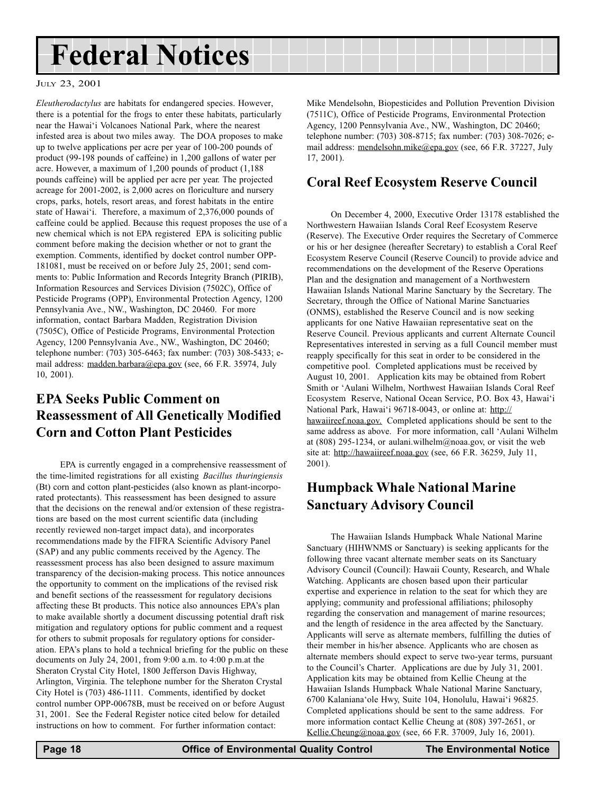## Federal Notices

#### JULY 23, 2001

Eleutherodactylus are habitats for endangered species. However, there is a potential for the frogs to enter these habitats, particularly near the Hawai'i Volcanoes National Park, where the nearest infested area is about two miles away. The DOA proposes to make up to twelve applications per acre per year of 100-200 pounds of product (99-198 pounds of caffeine) in 1,200 gallons of water per acre. However, a maximum of 1,200 pounds of product (1,188 pounds caffeine) will be applied per acre per year. The projected acreage for 2001-2002, is 2,000 acres on floriculture and nursery crops, parks, hotels, resort areas, and forest habitats in the entire state of Hawai'i. Therefore, a maximum of 2,376,000 pounds of caffeine could be applied. Because this request proposes the use of a new chemical which is not EPA registered EPA is soliciting public comment before making the decision whether or not to grant the exemption. Comments, identified by docket control number OPP-181081, must be received on or before July 25, 2001; send comments to: Public Information and Records Integrity Branch (PIRIB), Information Resources and Services Division (7502C), Office of Pesticide Programs (OPP), Environmental Protection Agency, 1200 Pennsylvania Ave., NW., Washington, DC 20460. For more information, contact Barbara Madden, Registration Division (7505C), Office of Pesticide Programs, Environmental Protection Agency, 1200 Pennsylvania Ave., NW., Washington, DC 20460; telephone number: (703) 305-6463; fax number: (703) 308-5433; email address: madden.barbara@epa.gov (see, 66 F.R. 35974, July 10, 2001).

## EPA Seeks Public Comment on Reassessment of All Genetically Modified Corn and Cotton Plant Pesticides

EPA is currently engaged in a comprehensive reassessment of the time-limited registrations for all existing Bacillus thuringiensis (Bt) corn and cotton plant-pesticides (also known as plant-incorporated protectants). This reassessment has been designed to assure that the decisions on the renewal and/or extension of these registrations are based on the most current scientific data (including recently reviewed non-target impact data), and incorporates recommendations made by the FIFRA Scientific Advisory Panel (SAP) and any public comments received by the Agency. The reassessment process has also been designed to assure maximum transparency of the decision-making process. This notice announces the opportunity to comment on the implications of the revised risk and benefit sections of the reassessment for regulatory decisions affecting these Bt products. This notice also announces EPA's plan to make available shortly a document discussing potential draft risk mitigation and regulatory options for public comment and a request for others to submit proposals for regulatory options for consideration. EPA's plans to hold a technical briefing for the public on these documents on July 24, 2001, from 9:00 a.m. to 4:00 p.m.at the Sheraton Crystal City Hotel, 1800 Jefferson Davis Highway, Arlington, Virginia. The telephone number for the Sheraton Crystal City Hotel is (703) 486-1111. Comments, identified by docket control number OPP-00678B, must be received on or before August 31, 2001. See the Federal Register notice cited below for detailed instructions on how to comment. For further information contact:

Mike Mendelsohn, Biopesticides and Pollution Prevention Division (7511C), Office of Pesticide Programs, Environmental Protection Agency, 1200 Pennsylvania Ave., NW., Washington, DC 20460; telephone number: (703) 308-8715; fax number: (703) 308-7026; email address: mendelsohn.mike@epa.gov (see, 66 F.R. 37227, July 17, 2001).

### Coral Reef Ecosystem Reserve Council

On December 4, 2000, Executive Order 13178 established the Northwestern Hawaiian Islands Coral Reef Ecosystem Reserve (Reserve). The Executive Order requires the Secretary of Commerce or his or her designee (hereafter Secretary) to establish a Coral Reef Ecosystem Reserve Council (Reserve Council) to provide advice and recommendations on the development of the Reserve Operations Plan and the designation and management of a Northwestern Hawaiian Islands National Marine Sanctuary by the Secretary. The Secretary, through the Office of National Marine Sanctuaries (ONMS), established the Reserve Council and is now seeking applicants for one Native Hawaiian representative seat on the Reserve Council. Previous applicants and current Alternate Council Representatives interested in serving as a full Council member must reapply specifically for this seat in order to be considered in the competitive pool. Completed applications must be received by August 10, 2001. Application kits may be obtained from Robert Smith or 'Aulani Wilhelm, Northwest Hawaiian Islands Coral Reef Ecosystem Reserve, National Ocean Service, P.O. Box 43, Hawai'i National Park, Hawai'i 96718-0043, or online at: http:// hawaiireef.noaa.gov. Completed applications should be sent to the same address as above. For more information, call 'Aulani Wilhelm at (808) 295-1234, or aulani.wilhelm@noaa.gov, or visit the web site at: http://hawaiireef.noaa.gov (see, 66 F.R. 36259, July 11, 2001).

## Humpback Whale National Marine Sanctuary Advisory Council

The Hawaiian Islands Humpback Whale National Marine Sanctuary (HIHWNMS or Sanctuary) is seeking applicants for the following three vacant alternate member seats on its Sanctuary Advisory Council (Council): Hawaii County, Research, and Whale Watching. Applicants are chosen based upon their particular expertise and experience in relation to the seat for which they are applying; community and professional affiliations; philosophy regarding the conservation and management of marine resources; and the length of residence in the area affected by the Sanctuary. Applicants will serve as alternate members, fulfilling the duties of their member in his/her absence. Applicants who are chosen as alternate members should expect to serve two-year terms, pursuant to the Council's Charter. Applications are due by July 31, 2001. Application kits may be obtained from Kellie Cheung at the Hawaiian Islands Humpback Whale National Marine Sanctuary, 6700 Kalaniana'ole Hwy, Suite 104, Honolulu, Hawai'i 96825. Completed applications should be sent to the same address. For more information contact Kellie Cheung at (808) 397-2651, or Kellie.Cheung@noaa.gov (see, 66 F.R. 37009, July 16, 2001).